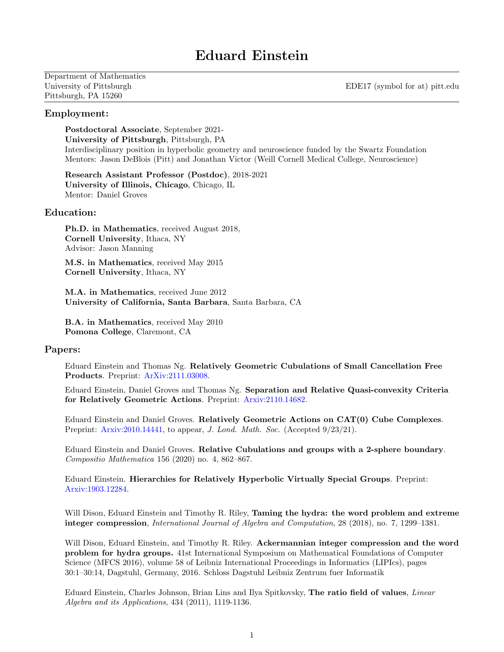# Eduard Einstein

Department of Mathematics Pittsburgh, PA 15260

University of Pittsburgh EDE17 (symbol for at) pitt.edu

## Employment:

Postdoctoral Associate, September 2021- University of Pittsburgh, Pittsburgh, PA Interdisciplinary position in hyperbolic geometry and neuroscience funded by the Swartz Foundation Mentors: Jason DeBlois (Pitt) and Jonathan Victor (Weill Cornell Medical College, Neuroscience)

Research Assistant Professor (Postdoc), 2018-2021 University of Illinois, Chicago, Chicago, IL Mentor: Daniel Groves

# Education:

Ph.D. in Mathematics, received August 2018, Cornell University, Ithaca, NY Advisor: Jason Manning

M.S. in Mathematics, received May 2015 Cornell University, Ithaca, NY

M.A. in Mathematics, received June 2012 University of California, Santa Barbara, Santa Barbara, CA

B.A. in Mathematics, received May 2010 Pomona College, Claremont, CA

## Papers:

Eduard Einstein and Thomas Ng. Relatively Geometric Cubulations of Small Cancellation Free Products. Preprint: [ArXiv:2111.03008.](https://arxiv.org/abs/2111.03008)

Eduard Einstein, Daniel Groves and Thomas Ng. Separation and Relative Quasi-convexity Criteria for Relatively Geometric Actions. Preprint: [Arxiv:2110.14682.](https://arxiv.org/abs/2110.14682)

Eduard Einstein and Daniel Groves. Relatively Geometric Actions on CAT(0) Cube Complexes. Preprint: [Arxiv:2010.14441,](https://arxiv.org/abs/2010.14441) to appear, J. Lond. Math. Soc. (Accepted  $9/23/21$ ).

Eduard Einstein and Daniel Groves. Relative Cubulations and groups with a 2-sphere boundary. Compositio Mathematica 156 (2020) no. 4, 862–867.

Eduard Einstein. Hierarchies for Relatively Hyperbolic Virtually Special Groups. Preprint: [Arxiv:1903.12284.](https://arxiv.org/abs/1903.12284)

Will Dison, Eduard Einstein and Timothy R. Riley, **Taming the hydra: the word problem and extreme** integer compression, International Journal of Algebra and Computation, 28 (2018), no. 7, 1299–1381.

Will Dison, Eduard Einstein, and Timothy R. Riley. Ackermannian integer compression and the word problem for hydra groups. 41st International Symposium on Mathematical Foundations of Computer Science (MFCS 2016), volume 58 of Leibniz International Proceedings in Informatics (LIPIcs), pages 30:1–30:14, Dagstuhl, Germany, 2016. Schloss Dagstuhl Leibniz Zentrum fuer Informatik

Eduard Einstein, Charles Johnson, Brian Lins and Ilya Spitkovsky, The ratio field of values, Linear Algebra and its Applications, 434 (2011), 1119-1136.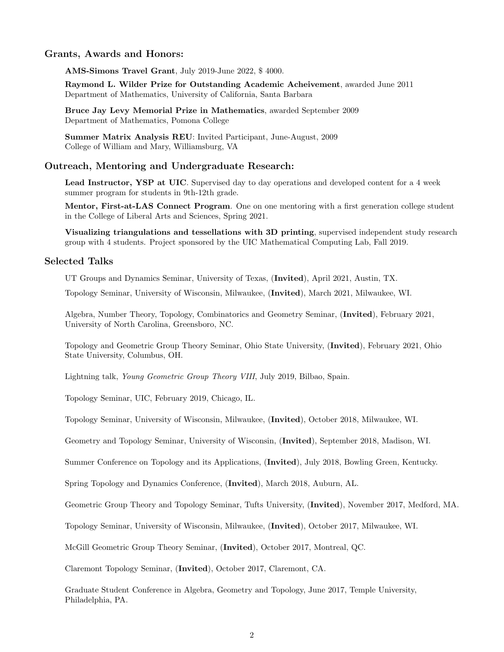## Grants, Awards and Honors:

AMS-Simons Travel Grant, July 2019-June 2022, \$ 4000.

Raymond L. Wilder Prize for Outstanding Academic Acheivement, awarded June 2011 Department of Mathematics, University of California, Santa Barbara

Bruce Jay Levy Memorial Prize in Mathematics, awarded September 2009 Department of Mathematics, Pomona College

Summer Matrix Analysis REU: Invited Participant, June-August, 2009 College of William and Mary, Williamsburg, VA

#### Outreach, Mentoring and Undergraduate Research:

Lead Instructor, YSP at UIC. Supervised day to day operations and developed content for a 4 week summer program for students in 9th-12th grade.

Mentor, First-at-LAS Connect Program. One on one mentoring with a first generation college student in the College of Liberal Arts and Sciences, Spring 2021.

Visualizing triangulations and tessellations with 3D printing, supervised independent study research group with 4 students. Project sponsored by the UIC Mathematical Computing Lab, Fall 2019.

#### Selected Talks

UT Groups and Dynamics Seminar, University of Texas, (Invited), April 2021, Austin, TX.

Topology Seminar, University of Wisconsin, Milwaukee, (Invited), March 2021, Milwaukee, WI.

Algebra, Number Theory, Topology, Combinatorics and Geometry Seminar, (Invited), February 2021, University of North Carolina, Greensboro, NC.

Topology and Geometric Group Theory Seminar, Ohio State University, (Invited), February 2021, Ohio State University, Columbus, OH.

Lightning talk, Young Geometric Group Theory VIII, July 2019, Bilbao, Spain.

Topology Seminar, UIC, February 2019, Chicago, IL.

Topology Seminar, University of Wisconsin, Milwaukee, (Invited), October 2018, Milwaukee, WI.

Geometry and Topology Seminar, University of Wisconsin, (Invited), September 2018, Madison, WI.

Summer Conference on Topology and its Applications, (Invited), July 2018, Bowling Green, Kentucky.

Spring Topology and Dynamics Conference, (Invited), March 2018, Auburn, AL.

Geometric Group Theory and Topology Seminar, Tufts University, (Invited), November 2017, Medford, MA.

Topology Seminar, University of Wisconsin, Milwaukee, (Invited), October 2017, Milwaukee, WI.

McGill Geometric Group Theory Seminar, (Invited), October 2017, Montreal, QC.

Claremont Topology Seminar, (Invited), October 2017, Claremont, CA.

Graduate Student Conference in Algebra, Geometry and Topology, June 2017, Temple University, Philadelphia, PA.